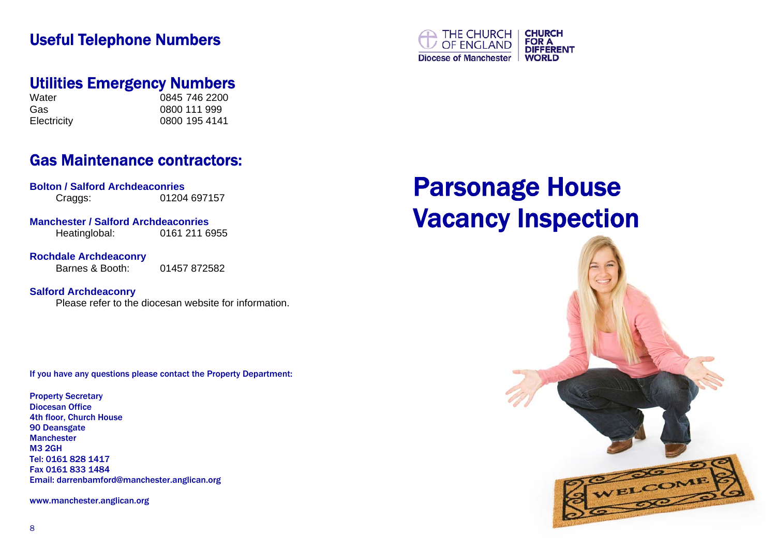## Useful Telephone Numbers



## Utilities Emergency Numbers

Water 0845 746 2200 Gas 0800 111 999 Electricity 0800 195 4141

# Gas Maintenance contractors:

**Bolton / Salford Archdeaconries**  Craggs: 01204 697157

**Manchester / Salford Archdeaconries** 

Heatinglobal: 0161 211 6955

**Rochdale Archdeaconry** 

Barnes & Booth: 01457 872582

**Salford Archdeaconry** 

Please refer to the diocesan website for information.

If you have any questions please contact the Property Department:

Property Secretary Diocesan Office 4th floor, Church House 90 Deansgate Manchester M3 2GH Tel: 0161 828 1417 Fax 0161 833 1484 Email: darrenbamford@manchester.anglican.org

www.manchester.anglican.org

# Parsonage House Vacancy Inspection

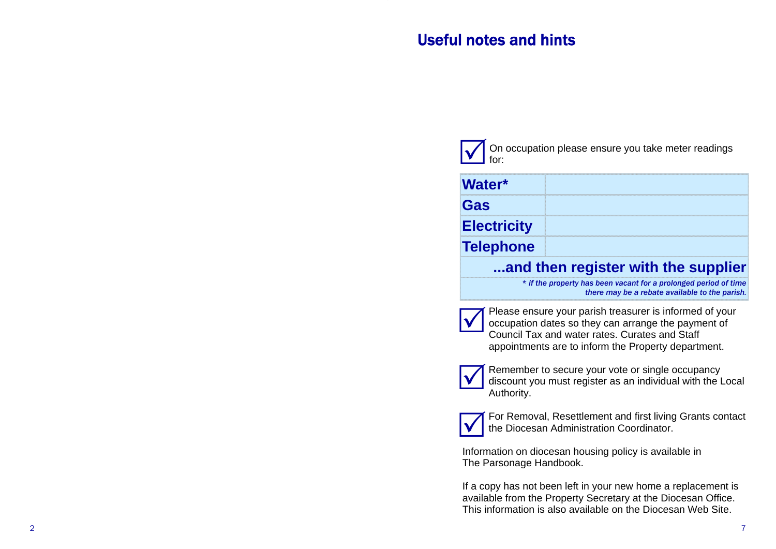# Useful notes and hints

On occupation please ensure you take meter readings for:  $\boxed{\checkmark}$ 

| and then register with the supplier |  |
|-------------------------------------|--|
| <b>Telephone</b>                    |  |
| <b>Electricity</b>                  |  |
| Gas                                 |  |
| Water*                              |  |

*\* if the property has been vacant for a prolonged period of time there may be a rebate available to the parish.* 



Please ensure your parish treasurer is informed of your occupation dates so they can arrange the payment of Council Tax and water rates. Curates and Staff appointments are to inform the Property department.



Remember to secure your vote or single occupancy discount you must register as an individual with the Local Authority.



For Removal, Resettlement and first living Grants contact the Diocesan Administration Coordinator.

Information on diocesan housing policy is available in The Parsonage Handbook.

If a copy has not been left in your new home a replacement is available from the Property Secretary at the Diocesan Office. This information is also available on the Diocesan Web Site.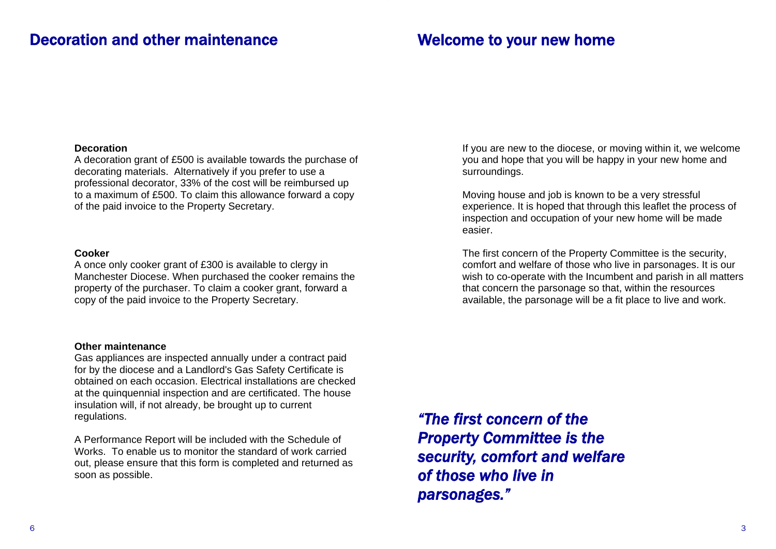## Decoration and other maintenance

### Welcome to your new home

#### **Decoration**

A decoration grant of £500 is available towards the purchase of decorating materials. Alternatively if you prefer to use a professional decorator, 33% of the cost will be reimbursed up to a maximum of £500. To claim this allowance forward a copy of the paid invoice to the Property Secretary.

#### **Cooker**

A once only cooker grant of £300 is available to clergy in Manchester Diocese. When purchased the cooker remains the property of the purchaser. To claim a cooker grant, forward a copy of the paid invoice to the Property Secretary.

#### **Other maintenance**

Gas appliances are inspected annually under a contract paid for by the diocese and a Landlord's Gas Safety Certificate is obtained on each occasion. Electrical installations are checked at the quinquennial inspection and are certificated. The house insulation will, if not already, be brought up to current regulations.

A Performance Report will be included with the Schedule of Works. To enable us to monitor the standard of work carried out, please ensure that this form is completed and returned as soon as possible.

If you are new to the diocese, or moving within it, we welcome you and hope that you will be happy in your new home and surroundings.

Moving house and job is known to be a very stressful experience. It is hoped that through this leaflet the process of inspection and occupation of your new home will be made easier.

The first concern of the Property Committee is the security, comfort and welfare of those who live in parsonages. It is our wish to co-operate with the Incumbent and parish in all matters that concern the parsonage so that, within the resources available, the parsonage will be a fit place to live and work.

*"The first concern of the Property Committee is the security, comfort and welfare of those who live in parsonages."*